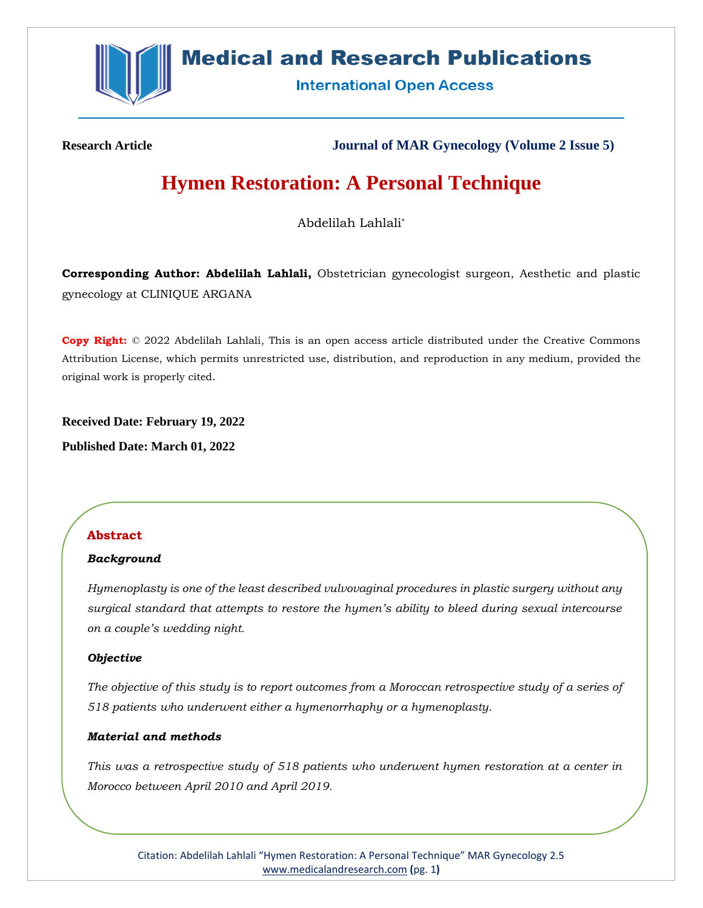

# **Medical and Research Publications**

**International Open Access** 

**Research Article Journal of MAR Gynecology (Volume 2 Issue 5)**

# **Hymen Restoration: A Personal Technique**

Abdelilah Lahlali\*

**Corresponding Author: Abdelilah Lahlali,** Obstetrician gynecologist surgeon, Aesthetic and plastic gynecology at CLINIQUE ARGANA

**Copy Right:** © 2022 Abdelilah Lahlali, This is an open access article distributed under the Creative Commons Attribution License, which permits unrestricted use, distribution, and reproduction in any medium, provided the original work is properly cited.

**Received Date: February 19, 2022**

**Published Date: March 01, 2022**

# **Abstract**

# *Background*

*Hymenoplasty is one of the least described vulvovaginal procedures in plastic surgery without any surgical standard that attempts to restore the hymen's ability to bleed during sexual intercourse on a couple's wedding night.* 

# *Objective*

*The objective of this study is to report outcomes from a Moroccan retrospective study of a series of 518 patients who underwent either a hymenorrhaphy or a hymenoplasty.* 

# *Material and methods*

*This was a retrospective study of 518 patients who underwent hymen restoration at a center in Morocco between April 2010 and April 2019.* 

Citation: Abdelilah Lahlali "Hymen Restoration: A Personal Technique" MAR Gynecology 2.5 [www.medicalandresearch.com](http://www.medicalandresearch.com/) **(**pg. 1**)**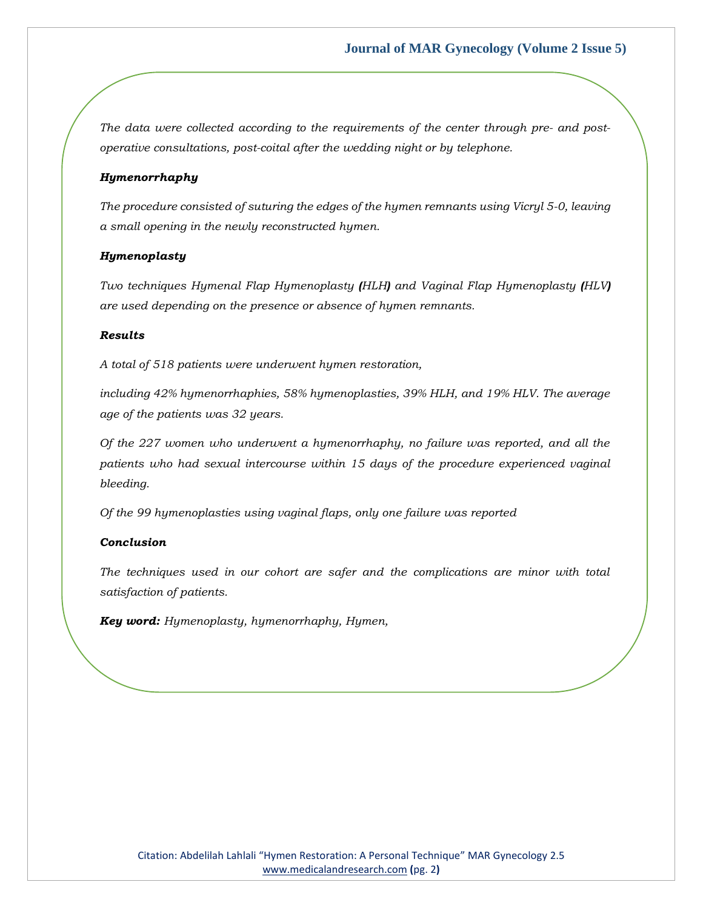*The data were collected according to the requirements of the center through pre- and postoperative consultations, post-coital after the wedding night or by telephone.* 

#### *Hymenorrhaphy*

*The procedure consisted of suturing the edges of the hymen remnants using Vicryl 5-0, leaving a small opening in the newly reconstructed hymen.* 

#### *Hymenoplasty*

*Two techniques Hymenal Flap Hymenoplasty (HLH) and Vaginal Flap Hymenoplasty (HLV) are used depending on the presence or absence of hymen remnants.* 

#### *Results*

*A total of 518 patients were underwent hymen restoration,*

*including 42% hymenorrhaphies, 58% hymenoplasties, 39% HLH, and 19% HLV. The average age of the patients was 32 years.* 

*Of the 227 women who underwent a hymenorrhaphy, no failure was reported, and all the patients who had sexual intercourse within 15 days of the procedure experienced vaginal bleeding.* 

*Of the 99 hymenoplasties using vaginal flaps, only one failure was reported* 

#### *Conclusion*

*The techniques used in our cohort are safer and the complications are minor with total satisfaction of patients.* 

*Key word: Hymenoplasty, hymenorrhaphy, Hymen,*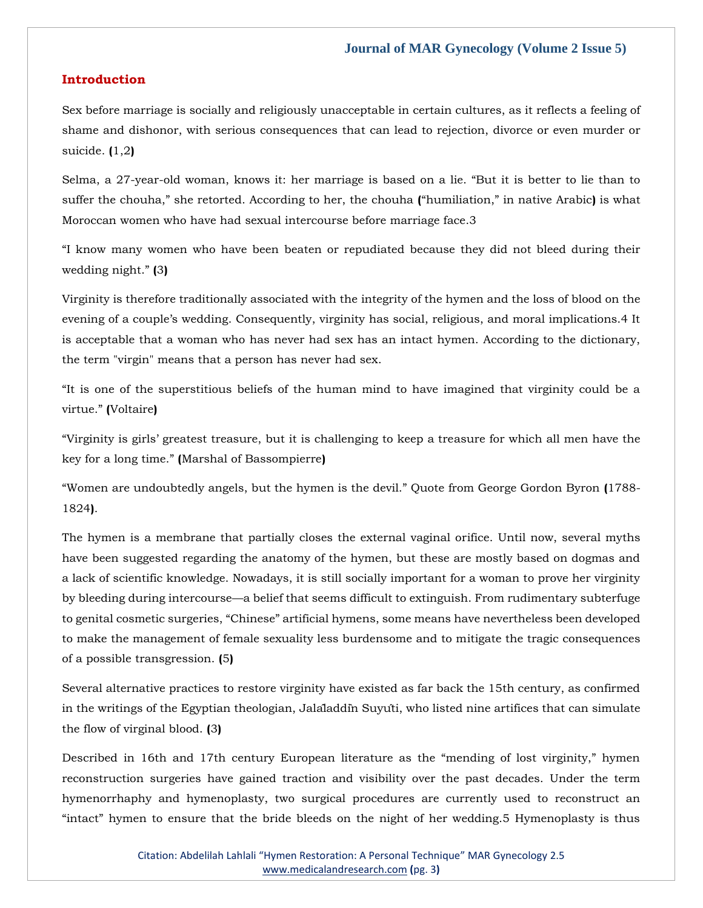#### **Introduction**

Sex before marriage is socially and religiously unacceptable in certain cultures, as it reflects a feeling of shame and dishonor, with serious consequences that can lead to rejection, divorce or even murder or suicide. **(**1,2**)**

Selma, a 27-year-old woman, knows it: her marriage is based on a lie. "But it is better to lie than to suffer the chouha," she retorted. According to her, the chouha **(**"humiliation," in native Arabic**)** is what Moroccan women who have had sexual intercourse before marriage face.3

"I know many women who have been beaten or repudiated because they did not bleed during their wedding night." **(**3**)**

Virginity is therefore traditionally associated with the integrity of the hymen and the loss of blood on the evening of a couple's wedding. Consequently, virginity has social, religious, and moral implications.4 It is acceptable that a woman who has never had sex has an intact hymen. According to the dictionary, the term "virgin" means that a person has never had sex.

"It is one of the superstitious beliefs of the human mind to have imagined that virginity could be a virtue." **(**Voltaire**)**

"Virginity is girls' greatest treasure, but it is challenging to keep a treasure for which all men have the key for a long time." **(**Marshal of Bassompierre**)**

"Women are undoubtedly angels, but the hymen is the devil." Quote from George Gordon Byron **(**1788- 1824**)**.

The hymen is a membrane that partially closes the external vaginal orifice. Until now, several myths have been suggested regarding the anatomy of the hymen, but these are mostly based on dogmas and a lack of scientific knowledge. Nowadays, it is still socially important for a woman to prove her virginity by bleeding during intercourse—a belief that seems difficult to extinguish. From rudimentary subterfuge to genital cosmetic surgeries, "Chinese" artificial hymens, some means have nevertheless been developed to make the management of female sexuality less burdensome and to mitigate the tragic consequences of a possible transgression. **(**5**)**

Several alternative practices to restore virginity have existed as far back the 15th century, as confirmed in the writings of the Egyptian theologian, Jalâladdîn Suyûti, who listed nine artifices that can simulate the flow of virginal blood. **(**3**)**

Described in 16th and 17th century European literature as the "mending of lost virginity," hymen reconstruction surgeries have gained traction and visibility over the past decades. Under the term hymenorrhaphy and hymenoplasty, two surgical procedures are currently used to reconstruct an "intact" hymen to ensure that the bride bleeds on the night of her wedding.5 Hymenoplasty is thus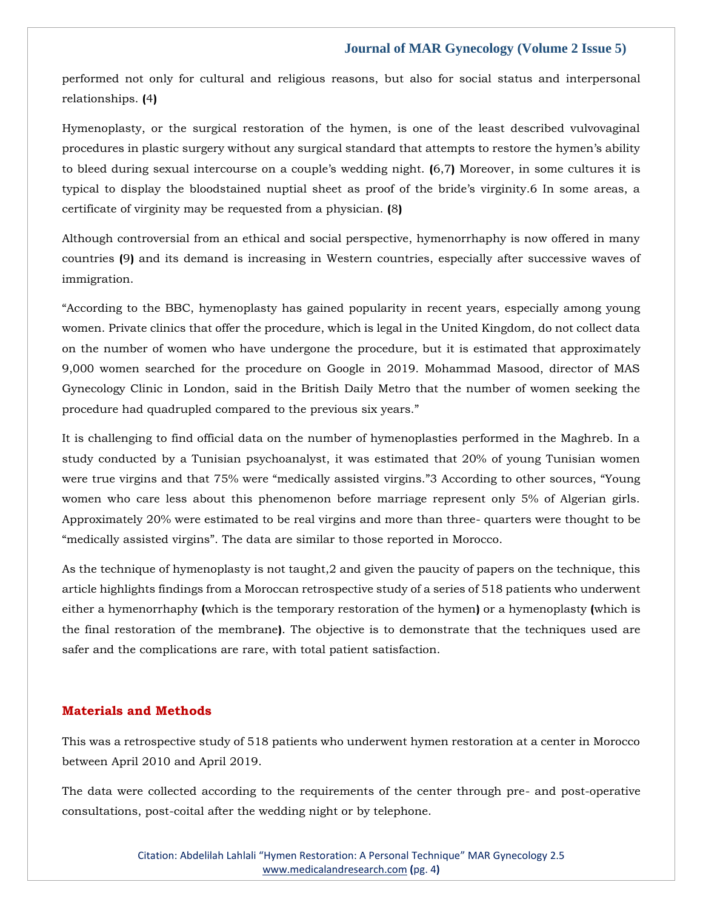performed not only for cultural and religious reasons, but also for social status and interpersonal relationships. **(**4**)**

Hymenoplasty, or the surgical restoration of the hymen, is one of the least described vulvovaginal procedures in plastic surgery without any surgical standard that attempts to restore the hymen's ability to bleed during sexual intercourse on a couple's wedding night. **(**6,7**)** Moreover, in some cultures it is typical to display the bloodstained nuptial sheet as proof of the bride's virginity.6 In some areas, a certificate of virginity may be requested from a physician. **(**8**)**

Although controversial from an ethical and social perspective, hymenorrhaphy is now offered in many countries **(**9**)** and its demand is increasing in Western countries, especially after successive waves of immigration.

"According to the BBC, hymenoplasty has gained popularity in recent years, especially among young women. Private clinics that offer the procedure, which is legal in the United Kingdom, do not collect data on the number of women who have undergone the procedure, but it is estimated that approximately 9,000 women searched for the procedure on Google in 2019. Mohammad Masood, director of MAS Gynecology Clinic in London, said in the British Daily Metro that the number of women seeking the procedure had quadrupled compared to the previous six years."

It is challenging to find official data on the number of hymenoplasties performed in the Maghreb. In a study conducted by a Tunisian psychoanalyst, it was estimated that 20% of young Tunisian women were true virgins and that 75% were "medically assisted virgins."3 According to other sources, "Young women who care less about this phenomenon before marriage represent only 5% of Algerian girls. Approximately 20% were estimated to be real virgins and more than three- quarters were thought to be "medically assisted virgins". The data are similar to those reported in Morocco.

As the technique of hymenoplasty is not taught,2 and given the paucity of papers on the technique, this article highlights findings from a Moroccan retrospective study of a series of 518 patients who underwent either a hymenorrhaphy **(**which is the temporary restoration of the hymen**)** or a hymenoplasty **(**which is the final restoration of the membrane**)**. The objective is to demonstrate that the techniques used are safer and the complications are rare, with total patient satisfaction.

## **Materials and Methods**

This was a retrospective study of 518 patients who underwent hymen restoration at a center in Morocco between April 2010 and April 2019.

The data were collected according to the requirements of the center through pre- and post-operative consultations, post-coital after the wedding night or by telephone.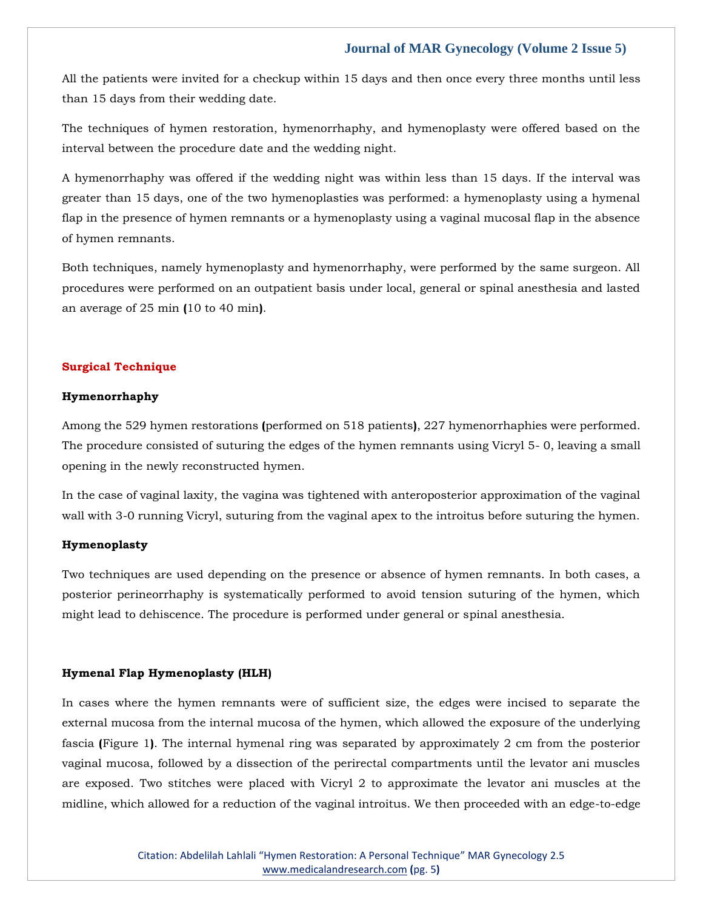All the patients were invited for a checkup within 15 days and then once every three months until less than 15 days from their wedding date.

The techniques of hymen restoration, hymenorrhaphy, and hymenoplasty were offered based on the interval between the procedure date and the wedding night.

A hymenorrhaphy was offered if the wedding night was within less than 15 days. If the interval was greater than 15 days, one of the two hymenoplasties was performed: a hymenoplasty using a hymenal flap in the presence of hymen remnants or a hymenoplasty using a vaginal mucosal flap in the absence of hymen remnants.

Both techniques, namely hymenoplasty and hymenorrhaphy, were performed by the same surgeon. All procedures were performed on an outpatient basis under local, general or spinal anesthesia and lasted an average of 25 min **(**10 to 40 min**)**.

## **Surgical Technique**

#### **Hymenorrhaphy**

Among the 529 hymen restorations **(**performed on 518 patients**)**, 227 hymenorrhaphies were performed. The procedure consisted of suturing the edges of the hymen remnants using Vicryl 5- 0, leaving a small opening in the newly reconstructed hymen.

In the case of vaginal laxity, the vagina was tightened with anteroposterior approximation of the vaginal wall with 3-0 running Vicryl, suturing from the vaginal apex to the introitus before suturing the hymen.

#### **Hymenoplasty**

Two techniques are used depending on the presence or absence of hymen remnants. In both cases, a posterior perineorrhaphy is systematically performed to avoid tension suturing of the hymen, which might lead to dehiscence. The procedure is performed under general or spinal anesthesia.

#### **Hymenal Flap Hymenoplasty (HLH)**

In cases where the hymen remnants were of sufficient size, the edges were incised to separate the external mucosa from the internal mucosa of the hymen, which allowed the exposure of the underlying fascia **(**Figure 1**)**. The internal hymenal ring was separated by approximately 2 cm from the posterior vaginal mucosa, followed by a dissection of the perirectal compartments until the levator ani muscles are exposed. Two stitches were placed with Vicryl 2 to approximate the levator ani muscles at the midline, which allowed for a reduction of the vaginal introitus. We then proceeded with an edge-to-edge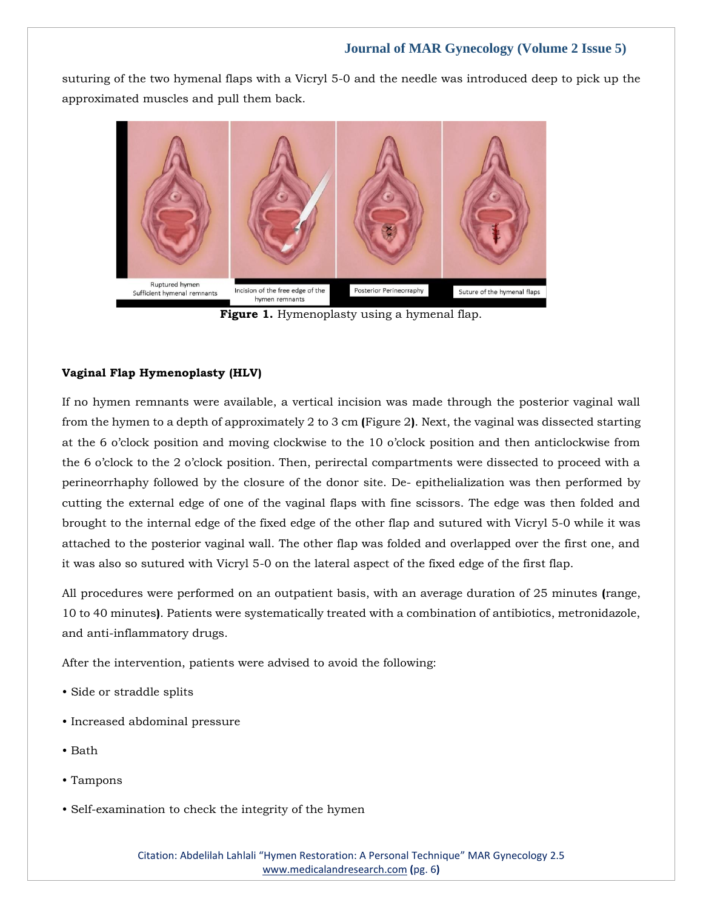suturing of the two hymenal flaps with a Vicryl 5-0 and the needle was introduced deep to pick up the approximated muscles and pull them back.



**Figure 1.** Hymenoplasty using a hymenal flap.

## **Vaginal Flap Hymenoplasty (HLV)**

If no hymen remnants were available, a vertical incision was made through the posterior vaginal wall from the hymen to a depth of approximately 2 to 3 cm **(**Figure 2**)**. Next, the vaginal was dissected starting at the 6 o'clock position and moving clockwise to the 10 o'clock position and then anticlockwise from the 6 o'clock to the 2 o'clock position. Then, perirectal compartments were dissected to proceed with a perineorrhaphy followed by the closure of the donor site. De- epithelialization was then performed by cutting the external edge of one of the vaginal flaps with fine scissors. The edge was then folded and brought to the internal edge of the fixed edge of the other flap and sutured with Vicryl 5-0 while it was attached to the posterior vaginal wall. The other flap was folded and overlapped over the first one, and it was also so sutured with Vicryl 5-0 on the lateral aspect of the fixed edge of the first flap.

All procedures were performed on an outpatient basis, with an average duration of 25 minutes **(**range, 10 to 40 minutes**)**. Patients were systematically treated with a combination of antibiotics, metronidazole, and anti-inflammatory drugs.

After the intervention, patients were advised to avoid the following:

- Side or straddle splits
- Increased abdominal pressure
- Bath
- Tampons
- Self-examination to check the integrity of the hymen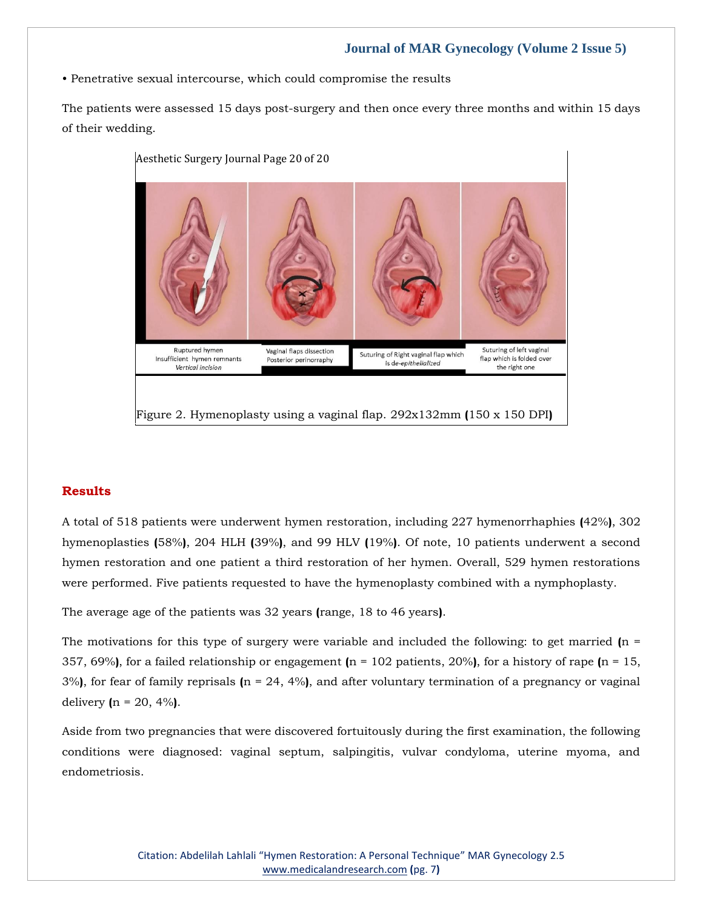• Penetrative sexual intercourse, which could compromise the results

The patients were assessed 15 days post-surgery and then once every three months and within 15 days of their wedding.



# **Results**

A total of 518 patients were underwent hymen restoration, including 227 hymenorrhaphies **(**42%**)**, 302 hymenoplasties **(**58%**)**, 204 HLH **(**39%**)**, and 99 HLV **(**19%**)**. Of note, 10 patients underwent a second hymen restoration and one patient a third restoration of her hymen. Overall, 529 hymen restorations were performed. Five patients requested to have the hymenoplasty combined with a nymphoplasty.

The average age of the patients was 32 years **(**range, 18 to 46 years**)**.

The motivations for this type of surgery were variable and included the following: to get married **(**n = 357, 69%**)**, for a failed relationship or engagement **(**n = 102 patients, 20%**)**, for a history of rape **(**n = 15, 3%**)**, for fear of family reprisals **(**n = 24, 4%**)**, and after voluntary termination of a pregnancy or vaginal delivery **(**n = 20, 4%**)**.

Aside from two pregnancies that were discovered fortuitously during the first examination, the following conditions were diagnosed: vaginal septum, salpingitis, vulvar condyloma, uterine myoma, and endometriosis.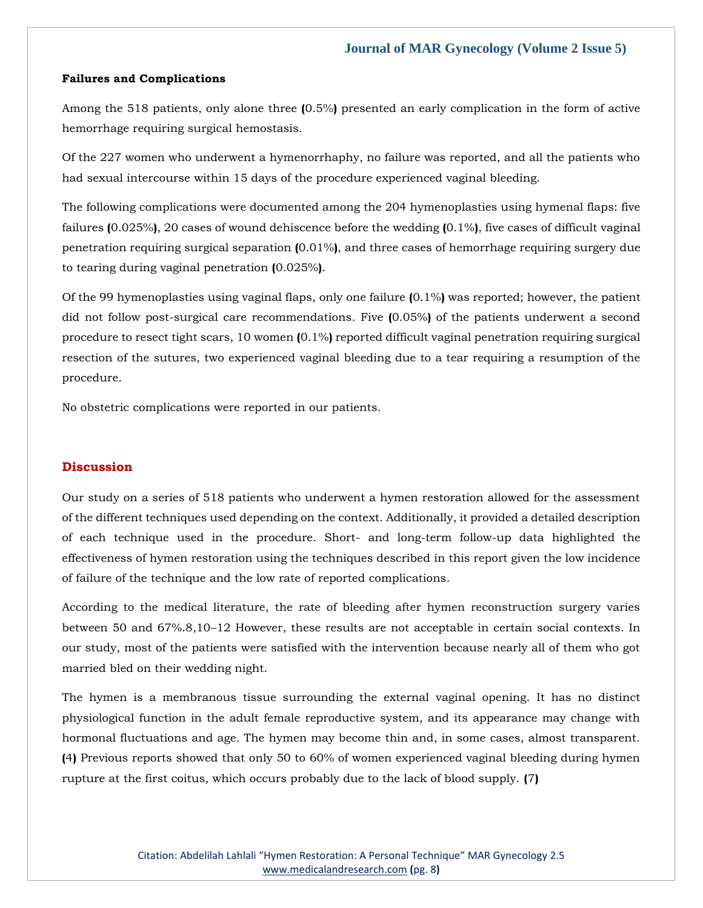## **Failures and Complications**

Among the 518 patients, only alone three **(**0.5%**)** presented an early complication in the form of active hemorrhage requiring surgical hemostasis.

Of the 227 women who underwent a hymenorrhaphy, no failure was reported, and all the patients who had sexual intercourse within 15 days of the procedure experienced vaginal bleeding.

The following complications were documented among the 204 hymenoplasties using hymenal flaps: five failures **(**0.025%**)**, 20 cases of wound dehiscence before the wedding **(**0.1%**)**, five cases of difficult vaginal penetration requiring surgical separation **(**0.01%**)**, and three cases of hemorrhage requiring surgery due to tearing during vaginal penetration **(**0.025%**)**.

Of the 99 hymenoplasties using vaginal flaps, only one failure **(**0.1%**)** was reported; however, the patient did not follow post-surgical care recommendations. Five **(**0.05%**)** of the patients underwent a second procedure to resect tight scars, 10 women **(**0.1%**)** reported difficult vaginal penetration requiring surgical resection of the sutures, two experienced vaginal bleeding due to a tear requiring a resumption of the procedure.

No obstetric complications were reported in our patients.

# **Discussion**

Our study on a series of 518 patients who underwent a hymen restoration allowed for the assessment of the different techniques used depending on the context. Additionally, it provided a detailed description of each technique used in the procedure. Short- and long-term follow-up data highlighted the effectiveness of hymen restoration using the techniques described in this report given the low incidence of failure of the technique and the low rate of reported complications.

According to the medical literature, the rate of bleeding after hymen reconstruction surgery varies between 50 and 67%.8,10–12 However, these results are not acceptable in certain social contexts. In our study, most of the patients were satisfied with the intervention because nearly all of them who got married bled on their wedding night.

The hymen is a membranous tissue surrounding the external vaginal opening. It has no distinct physiological function in the adult female reproductive system, and its appearance may change with hormonal fluctuations and age. The hymen may become thin and, in some cases, almost transparent. **(**4**)** Previous reports showed that only 50 to 60% of women experienced vaginal bleeding during hymen rupture at the first coitus, which occurs probably due to the lack of blood supply. **(**7**)**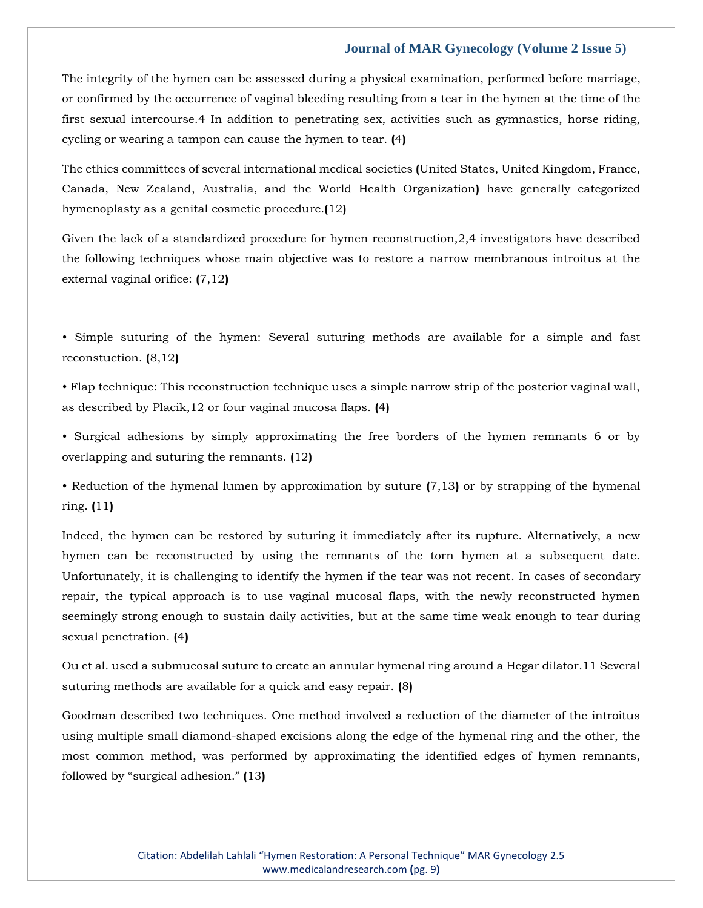The integrity of the hymen can be assessed during a physical examination, performed before marriage, or confirmed by the occurrence of vaginal bleeding resulting from a tear in the hymen at the time of the first sexual intercourse.4 In addition to penetrating sex, activities such as gymnastics, horse riding, cycling or wearing a tampon can cause the hymen to tear. **(**4**)**

The ethics committees of several international medical societies **(**United States, United Kingdom, France, Canada, New Zealand, Australia, and the World Health Organization**)** have generally categorized hymenoplasty as a genital cosmetic procedure.**(**12**)**

Given the lack of a standardized procedure for hymen reconstruction,2,4 investigators have described the following techniques whose main objective was to restore a narrow membranous introitus at the external vaginal orifice: **(**7,12**)**

• Simple suturing of the hymen: Several suturing methods are available for a simple and fast reconstuction. **(**8,12**)**

• Flap technique: This reconstruction technique uses a simple narrow strip of the posterior vaginal wall, as described by Placik,12 or four vaginal mucosa flaps. **(**4**)**

• Surgical adhesions by simply approximating the free borders of the hymen remnants 6 or by overlapping and suturing the remnants. **(**12**)**

• Reduction of the hymenal lumen by approximation by suture **(**7,13**)** or by strapping of the hymenal ring. **(**11**)**

Indeed, the hymen can be restored by suturing it immediately after its rupture. Alternatively, a new hymen can be reconstructed by using the remnants of the torn hymen at a subsequent date. Unfortunately, it is challenging to identify the hymen if the tear was not recent. In cases of secondary repair, the typical approach is to use vaginal mucosal flaps, with the newly reconstructed hymen seemingly strong enough to sustain daily activities, but at the same time weak enough to tear during sexual penetration. **(**4**)**

Ou et al. used a submucosal suture to create an annular hymenal ring around a Hegar dilator.11 Several suturing methods are available for a quick and easy repair. **(**8**)**

Goodman described two techniques. One method involved a reduction of the diameter of the introitus using multiple small diamond-shaped excisions along the edge of the hymenal ring and the other, the most common method, was performed by approximating the identified edges of hymen remnants, followed by "surgical adhesion." **(**13**)**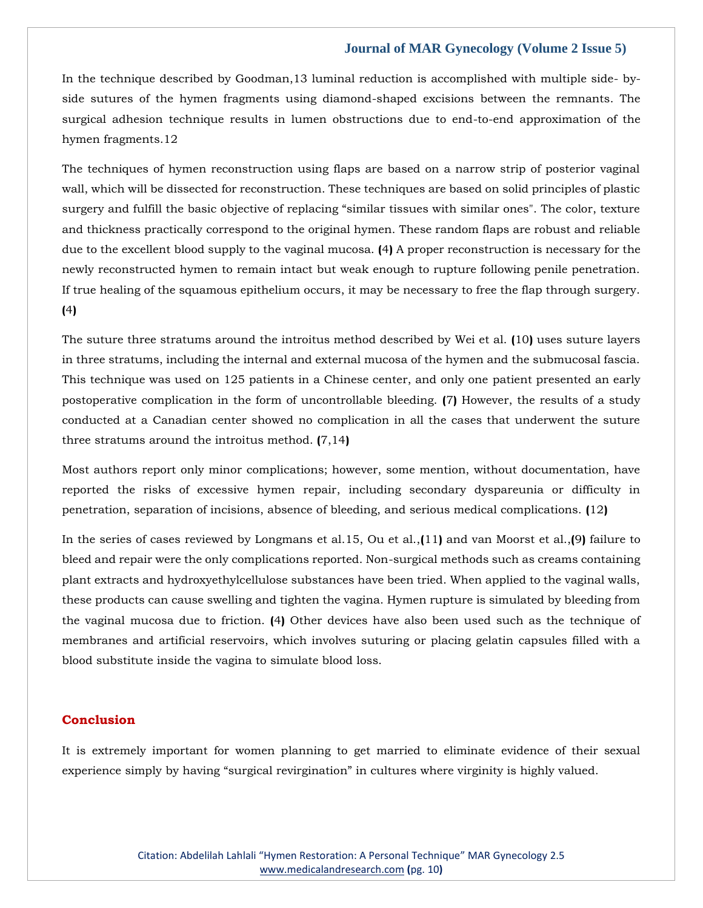In the technique described by Goodman,13 luminal reduction is accomplished with multiple side- byside sutures of the hymen fragments using diamond-shaped excisions between the remnants. The surgical adhesion technique results in lumen obstructions due to end-to-end approximation of the hymen fragments.12

The techniques of hymen reconstruction using flaps are based on a narrow strip of posterior vaginal wall, which will be dissected for reconstruction. These techniques are based on solid principles of plastic surgery and fulfill the basic objective of replacing "similar tissues with similar ones". The color, texture and thickness practically correspond to the original hymen. These random flaps are robust and reliable due to the excellent blood supply to the vaginal mucosa. **(**4**)** A proper reconstruction is necessary for the newly reconstructed hymen to remain intact but weak enough to rupture following penile penetration. If true healing of the squamous epithelium occurs, it may be necessary to free the flap through surgery. **(**4**)**

The suture three stratums around the introitus method described by Wei et al. **(**10**)** uses suture layers in three stratums, including the internal and external mucosa of the hymen and the submucosal fascia. This technique was used on 125 patients in a Chinese center, and only one patient presented an early postoperative complication in the form of uncontrollable bleeding. **(**7**)** However, the results of a study conducted at a Canadian center showed no complication in all the cases that underwent the suture three stratums around the introitus method. **(**7,14**)**

Most authors report only minor complications; however, some mention, without documentation, have reported the risks of excessive hymen repair, including secondary dyspareunia or difficulty in penetration, separation of incisions, absence of bleeding, and serious medical complications. **(**12**)**

In the series of cases reviewed by Longmans et al.15, Ou et al.,**(**11**)** and van Moorst et al.,**(**9**)** failure to bleed and repair were the only complications reported. Non-surgical methods such as creams containing plant extracts and hydroxyethylcellulose substances have been tried. When applied to the vaginal walls, these products can cause swelling and tighten the vagina. Hymen rupture is simulated by bleeding from the vaginal mucosa due to friction. **(**4**)** Other devices have also been used such as the technique of membranes and artificial reservoirs, which involves suturing or placing gelatin capsules filled with a blood substitute inside the vagina to simulate blood loss.

# **Conclusion**

It is extremely important for women planning to get married to eliminate evidence of their sexual experience simply by having "surgical revirgination" in cultures where virginity is highly valued.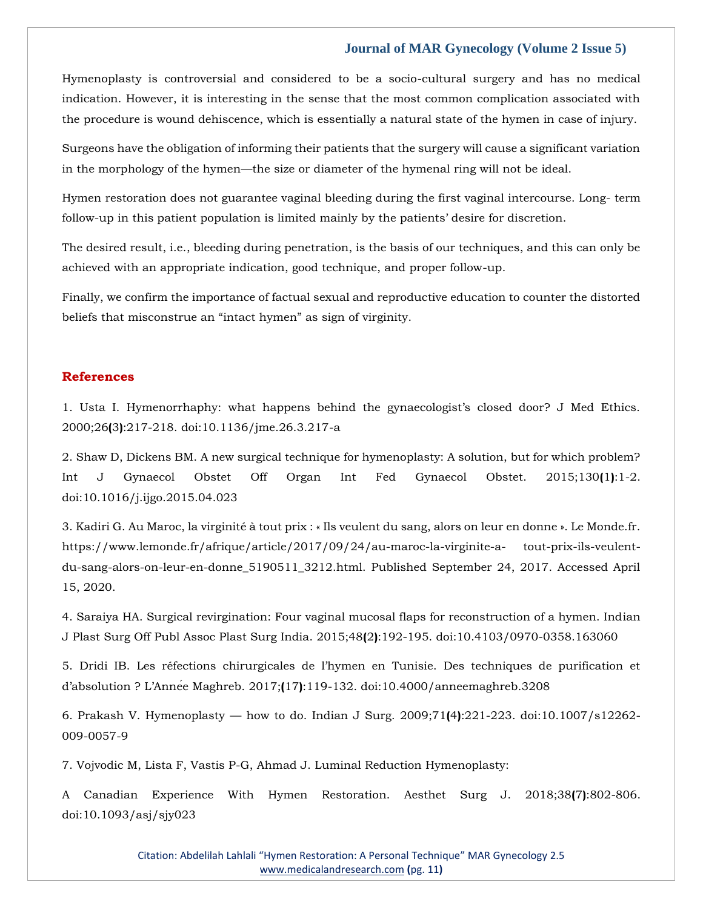Hymenoplasty is controversial and considered to be a socio-cultural surgery and has no medical indication. However, it is interesting in the sense that the most common complication associated with the procedure is wound dehiscence, which is essentially a natural state of the hymen in case of injury.

Surgeons have the obligation of informing their patients that the surgery will cause a significant variation in the morphology of the hymen—the size or diameter of the hymenal ring will not be ideal.

Hymen restoration does not guarantee vaginal bleeding during the first vaginal intercourse. Long- term follow-up in this patient population is limited mainly by the patients' desire for discretion.

The desired result, i.e., bleeding during penetration, is the basis of our techniques, and this can only be achieved with an appropriate indication, good technique, and proper follow-up.

Finally, we confirm the importance of factual sexual and reproductive education to counter the distorted beliefs that misconstrue an "intact hymen" as sign of virginity.

#### **References**

1. Usta I. Hymenorrhaphy: what happens behind the gynaecologist's closed door? J Med Ethics. 2000;26**(**3**)**:217-218. doi:10.1136/jme.26.3.217-a

2. Shaw D, Dickens BM. A new surgical technique for hymenoplasty: A solution, but for which problem? Int J Gynaecol Obstet Off Organ Int Fed Gynaecol Obstet. 2015;130**(**1**)**:1-2. doi:10.1016/j.ijgo.2015.04.023

3. Kadiri G. Au Maroc, la virginité à tout prix : « Ils veulent du sang, alors on leur en donne ». Le Monde.fr. https://www.lemonde.fr/afrique/article/2017/09/24/au-maroc-la-virginite-a- tout-prix-ils-veulentdu-sang-alors-on-leur-en-donne\_5190511\_3212.html. Published September 24, 2017. Accessed April 15, 2020.

4. Saraiya HA. Surgical revirgination: Four vaginal mucosal flaps for reconstruction of a hymen. Indian J Plast Surg Off Publ Assoc Plast Surg India. 2015;48**(**2**)**:192-195. doi:10.4103/0970-0358.163060

5. Dridi IB. Les réfections chirurgicales de l'hymen en Tunisie. Des techniques de purification et d'absolution ? L'Année Maghreb. 2017;**(**17**)**:119-132. doi:10.4000/anneemaghreb.3208

6. Prakash V. Hymenoplasty — how to do. Indian J Surg. 2009;71**(**4**)**:221-223. doi:10.1007/s12262- 009-0057-9

7. Vojvodic M, Lista F, Vastis P-G, Ahmad J. Luminal Reduction Hymenoplasty:

A Canadian Experience With Hymen Restoration. Aesthet Surg J. 2018;38**(**7**)**:802-806. doi:10.1093/asj/sjy023